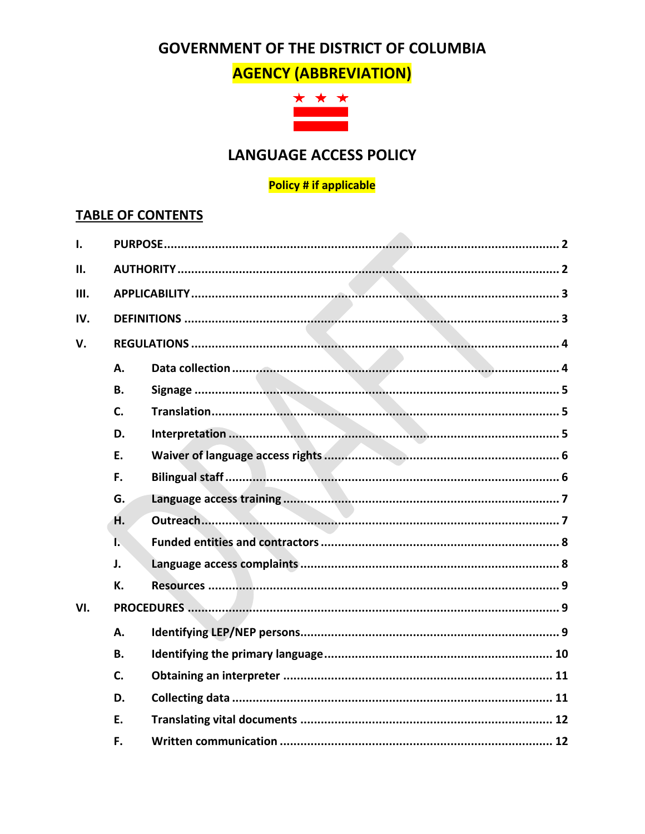# **GOVERNMENT OF THE DISTRICT OF COLUMBIA**

**AGENCY (ABBREVIATION)** 



# **LANGUAGE ACCESS POLICY**

#### **Policy # if applicable**

## **TABLE OF CONTENTS**

| Ι.  |              |  |  |  |
|-----|--------------|--|--|--|
| II. |              |  |  |  |
| Ш.  |              |  |  |  |
| IV. |              |  |  |  |
| V.  |              |  |  |  |
|     | A.           |  |  |  |
|     | <b>B.</b>    |  |  |  |
|     | C.           |  |  |  |
|     | D.           |  |  |  |
|     | E.           |  |  |  |
|     | F.           |  |  |  |
|     | G.           |  |  |  |
|     | H.           |  |  |  |
|     | $\mathbf{L}$ |  |  |  |
|     | J.           |  |  |  |
|     | К.           |  |  |  |
| VI. |              |  |  |  |
|     | A.           |  |  |  |
|     | <b>B.</b>    |  |  |  |
|     | C.           |  |  |  |
|     | D.           |  |  |  |
|     | E.           |  |  |  |
|     | F.           |  |  |  |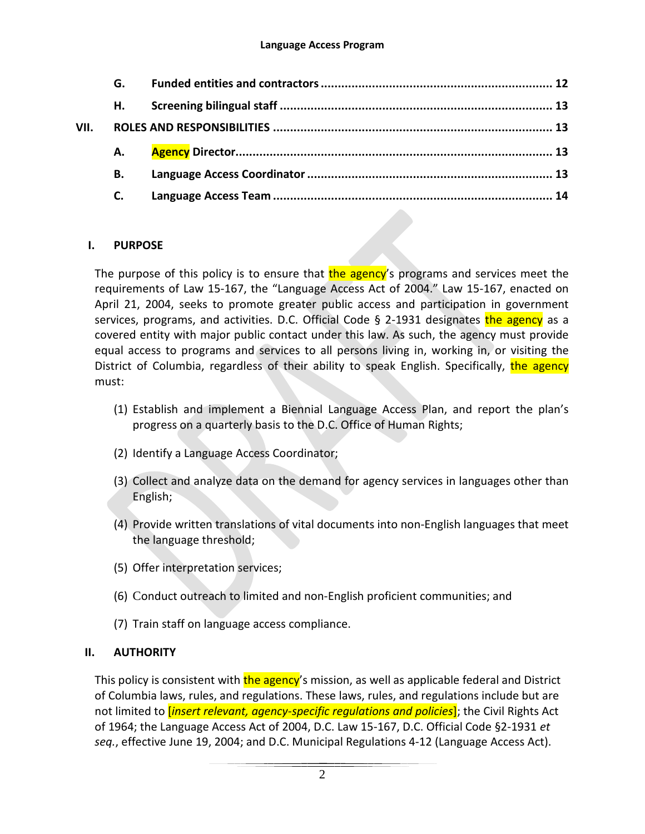|      | G. |  |
|------|----|--|
|      | н. |  |
| VII. |    |  |
|      | А. |  |
|      | В. |  |
|      | C. |  |
|      |    |  |

## <span id="page-1-0"></span>**I. PURPOSE**

The purpose of this policy is to ensure that the agency's programs and services meet the requirements of Law 15-167, the "Language Access Act of 2004." Law 15-167, enacted on April 21, 2004, seeks to promote greater public access and participation in government services, programs, and activities. D.C. Official Code § 2-1931 designates the agency as a covered entity with major public contact under this law. As such, the agency must provide equal access to programs and services to all persons living in, working in, or visiting the District of Columbia, regardless of their ability to speak English. Specifically, the agency must:

- (1) Establish and implement a Biennial Language Access Plan, and report the plan's progress on a quarterly basis to the D.C. Office of Human Rights;
- (2) Identify a Language Access Coordinator;
- (3) Collect and analyze data on the demand for agency services in languages other than English;
- (4) Provide written translations of vital documents into non-English languages that meet the language threshold;
- (5) Offer interpretation services;
- (6) Conduct outreach to limited and non-English proficient communities; and
- (7) Train staff on language access compliance.

## <span id="page-1-1"></span>**II. AUTHORITY**

This policy is consistent with the agency's mission, as well as applicable federal and District of Columbia laws, rules, and regulations. These laws, rules, and regulations include but are not limited to [*insert relevant, agency-specific regulations and policies*]; the Civil Rights Act of 1964; the Language Access Act of 2004, D.C. Law 15-167, D.C. Official Code §2-1931 *et seq.*, effective June 19, 2004; and D.C. Municipal Regulations 4-12 (Language Access Act).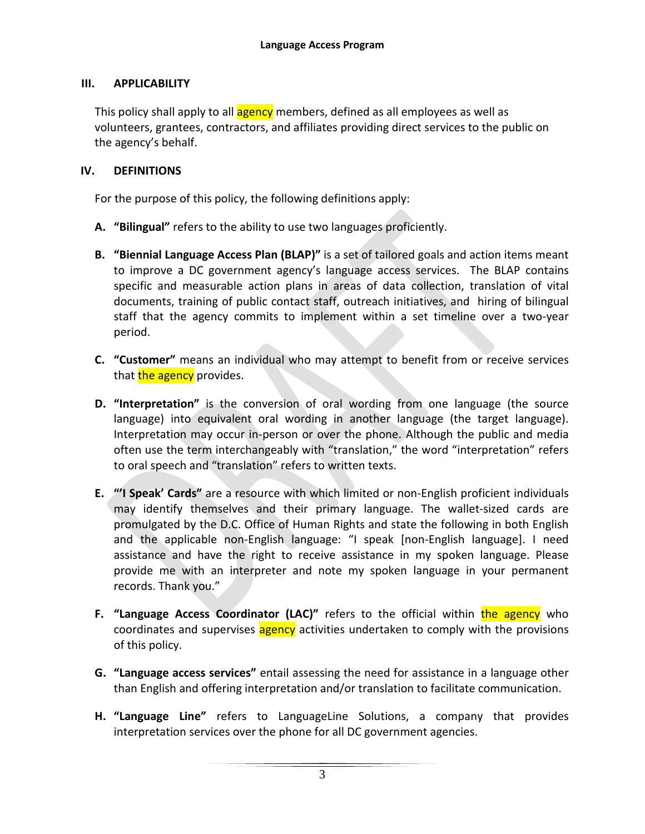#### <span id="page-2-0"></span>**III. APPLICABILITY**

This policy shall apply to all **agency** members, defined as all employees as well as volunteers, grantees, contractors, and affiliates providing direct services to the public on the agency's behalf.

#### <span id="page-2-1"></span>**IV. DEFINITIONS**

For the purpose of this policy, the following definitions apply:

- **A. "Bilingual"** refers to the ability to use two languages proficiently.
- **B. "Biennial Language Access Plan (BLAP)"** is a set of tailored goals and action items meant to improve a DC government agency's language access services. The BLAP contains specific and measurable action plans in areas of data collection, translation of vital documents, training of public contact staff, outreach initiatives, and hiring of bilingual staff that the agency commits to implement within a set timeline over a two-year period.
- **C. "Customer"** means an individual who may attempt to benefit from or receive services that the agency provides.
- **D. "Interpretation"** is the conversion of oral wording from one language (the source language) into equivalent oral wording in another language (the target language). Interpretation may occur in-person or over the phone. Although the public and media often use the term interchangeably with "translation," the word "interpretation" refers to oral speech and "translation" refers to written texts.
- **E. "'I Speak' Cards"** are a resource with which limited or non-English proficient individuals may identify themselves and their primary language. The wallet-sized cards are promulgated by the D.C. Office of Human Rights and state the following in both English and the applicable non-English language: "I speak [non-English language]. I need assistance and have the right to receive assistance in my spoken language. Please provide me with an interpreter and note my spoken language in your permanent records. Thank you."
- **F. "Language Access Coordinator (LAC)"** refers to the official within the agency who coordinates and supervises agency activities undertaken to comply with the provisions of this policy.
- **G. "Language access services"** entail assessing the need for assistance in a language other than English and offering interpretation and/or translation to facilitate communication.
- **H. "Language Line"** refers to LanguageLine Solutions, a company that provides interpretation services over the phone for all DC government agencies.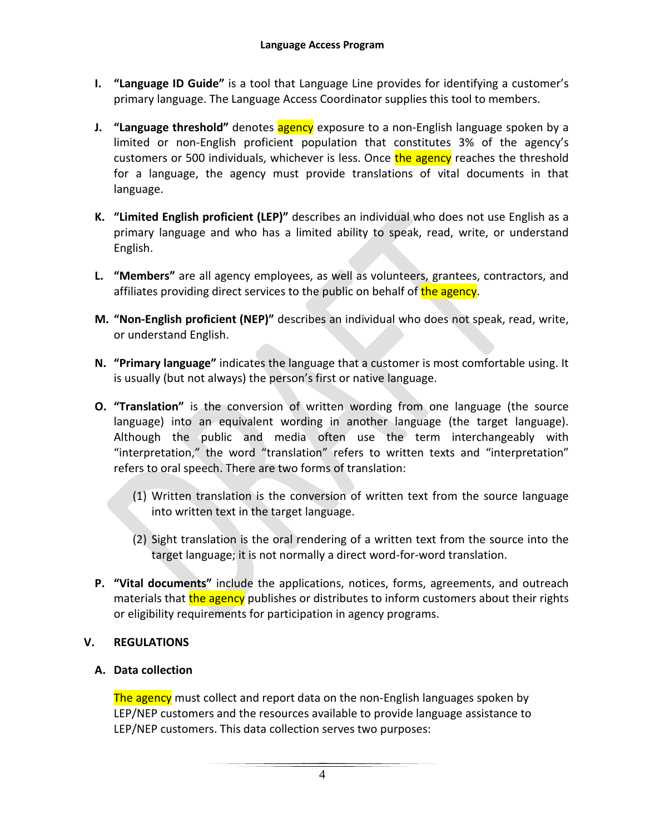- **I. "Language ID Guide"** is a tool that Language Line provides for identifying a customer's primary language. The Language Access Coordinator supplies this tool to members.
- **J. "Language threshold"** denotes **agency** exposure to a non-English language spoken by a limited or non-English proficient population that constitutes 3% of the agency's customers or 500 individuals, whichever is less. Once the agency reaches the threshold for a language, the agency must provide translations of vital documents in that language.
- **K. "Limited English proficient (LEP)"** describes an individual who does not use English as a primary language and who has a limited ability to speak, read, write, or understand English.
- **L. "Members"** are all agency employees, as well as volunteers, grantees, contractors, and affiliates providing direct services to the public on behalf of the agency.
- **M. "Non-English proficient (NEP)"** describes an individual who does not speak, read, write, or understand English.
- **N. "Primary language"** indicates the language that a customer is most comfortable using. It is usually (but not always) the person's first or native language.
- **O. "Translation"** is the conversion of written wording from one language (the source language) into an equivalent wording in another language (the target language). Although the public and media often use the term interchangeably with "interpretation," the word "translation" refers to written texts and "interpretation" refers to oral speech. There are two forms of translation:
	- (1) Written translation is the conversion of written text from the source language into written text in the target language.
	- (2) Sight translation is the oral rendering of a written text from the source into the target language; it is not normally a direct word-for-word translation.
- **P. "Vital documents"** include the applications, notices, forms, agreements, and outreach materials that the agency publishes or distributes to inform customers about their rights or eligibility requirements for participation in agency programs.

## <span id="page-3-0"></span>**V. REGULATIONS**

#### <span id="page-3-1"></span>**A. Data collection**

The agency must collect and report data on the non-English languages spoken by LEP/NEP customers and the resources available to provide language assistance to LEP/NEP customers. This data collection serves two purposes: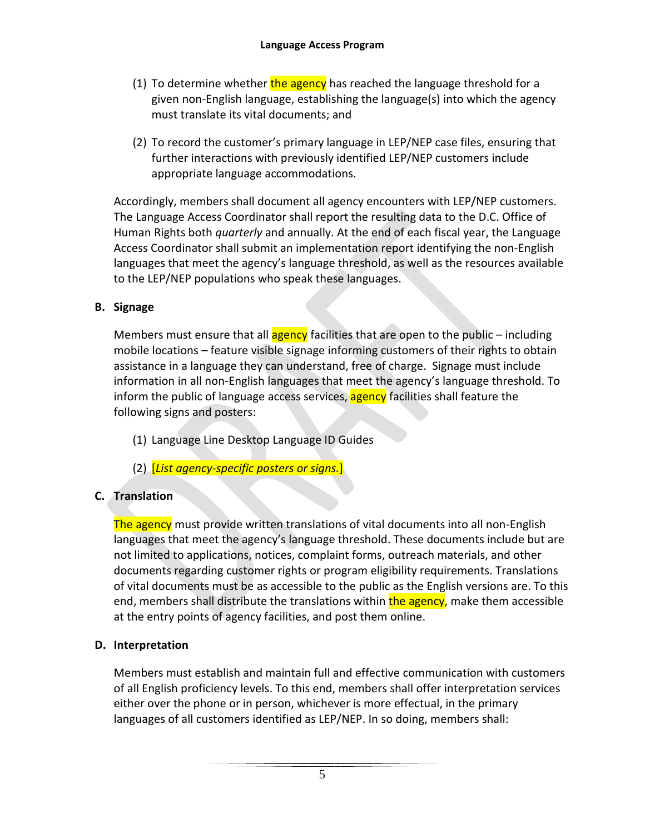- (1) To determine whether the agency has reached the language threshold for a given non-English language, establishing the language(s) into which the agency must translate its vital documents; and
- (2) To record the customer's primary language in LEP/NEP case files, ensuring that further interactions with previously identified LEP/NEP customers include appropriate language accommodations.

Accordingly, members shall document all agency encounters with LEP/NEP customers. The Language Access Coordinator shall report the resulting data to the D.C. Office of Human Rights both *quarterly* and annually. At the end of each fiscal year, the Language Access Coordinator shall submit an implementation report identifying the non-English languages that meet the agency's language threshold, as well as the resources available to the LEP/NEP populations who speak these languages.

## <span id="page-4-0"></span>**B. Signage**

Members must ensure that all **agency** facilities that are open to the public – including mobile locations – feature visible signage informing customers of their rights to obtain assistance in a language they can understand, free of charge. Signage must include information in all non-English languages that meet the agency's language threshold. To inform the public of language access services, **agency** facilities shall feature the following signs and posters:

- (1) Language Line Desktop Language ID Guides
- (2) [*List agency-specific posters or signs.*]

## <span id="page-4-1"></span>**C. Translation**

The agency must provide written translations of vital documents into all non-English languages that meet the agency's language threshold. These documents include but are not limited to applications, notices, complaint forms, outreach materials, and other documents regarding customer rights or program eligibility requirements. Translations of vital documents must be as accessible to the public as the English versions are. To this end, members shall distribute the translations within the agency, make them accessible at the entry points of agency facilities, and post them online.

## <span id="page-4-2"></span>**D. Interpretation**

Members must establish and maintain full and effective communication with customers of all English proficiency levels. To this end, members shall offer interpretation services either over the phone or in person, whichever is more effectual, in the primary languages of all customers identified as LEP/NEP. In so doing, members shall: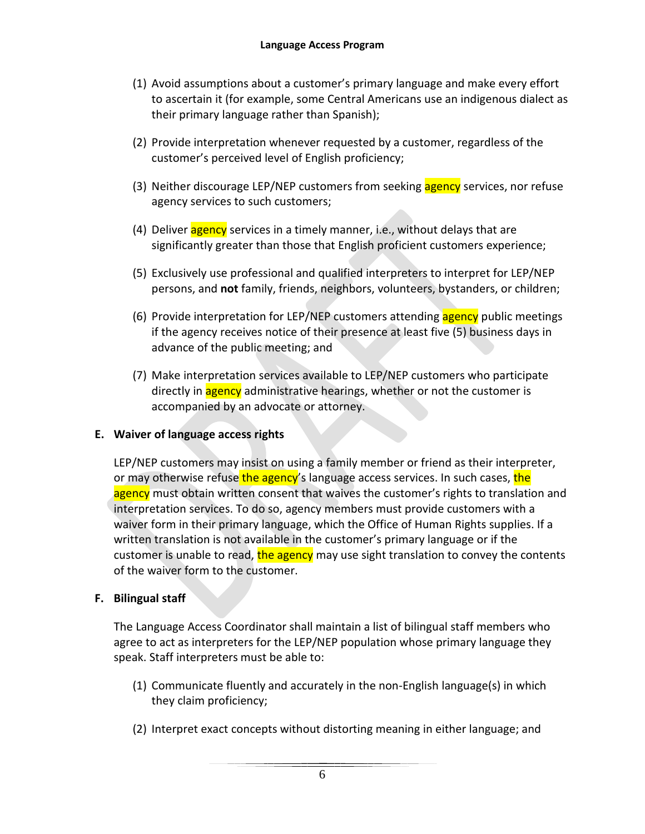- (1) Avoid assumptions about a customer's primary language and make every effort to ascertain it (for example, some Central Americans use an indigenous dialect as their primary language rather than Spanish);
- (2) Provide interpretation whenever requested by a customer, regardless of the customer's perceived level of English proficiency;
- (3) Neither discourage LEP/NEP customers from seeking agency services, nor refuse agency services to such customers;
- (4) Deliver agency services in a timely manner, i.e., without delays that are significantly greater than those that English proficient customers experience;
- (5) Exclusively use professional and qualified interpreters to interpret for LEP/NEP persons, and **not** family, friends, neighbors, volunteers, bystanders, or children;
- (6) Provide interpretation for LEP/NEP customers attending agency public meetings if the agency receives notice of their presence at least five (5) business days in advance of the public meeting; and
- (7) Make interpretation services available to LEP/NEP customers who participate directly in **agency** administrative hearings, whether or not the customer is accompanied by an advocate or attorney.

## <span id="page-5-0"></span>**E. Waiver of language access rights**

LEP/NEP customers may insist on using a family member or friend as their interpreter, or may otherwise refuse the agency's language access services. In such cases, the agency must obtain written consent that waives the customer's rights to translation and interpretation services. To do so, agency members must provide customers with a waiver form in their primary language, which the Office of Human Rights supplies. If a written translation is not available in the customer's primary language or if the customer is unable to read, the agency may use sight translation to convey the contents of the waiver form to the customer.

#### <span id="page-5-1"></span>**F. Bilingual staff**

The Language Access Coordinator shall maintain a list of bilingual staff members who agree to act as interpreters for the LEP/NEP population whose primary language they speak. Staff interpreters must be able to:

- (1) Communicate fluently and accurately in the non-English language(s) in which they claim proficiency;
- (2) Interpret exact concepts without distorting meaning in either language; and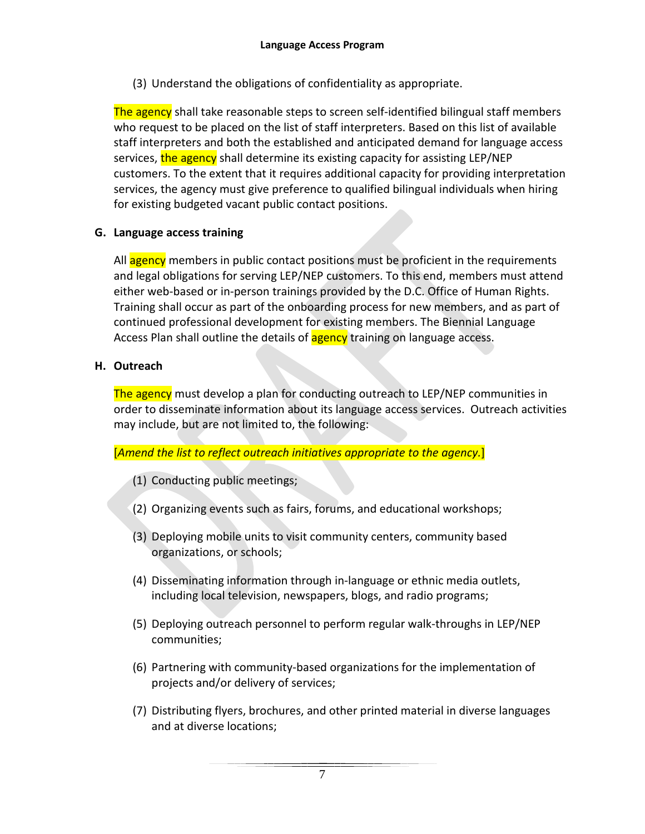(3) Understand the obligations of confidentiality as appropriate.

The agency shall take reasonable steps to screen self-identified bilingual staff members who request to be placed on the list of staff interpreters. Based on this list of available staff interpreters and both the established and anticipated demand for language access services, the agency shall determine its existing capacity for assisting LEP/NEP customers. To the extent that it requires additional capacity for providing interpretation services, the agency must give preference to qualified bilingual individuals when hiring for existing budgeted vacant public contact positions.

#### <span id="page-6-0"></span>**G. Language access training**

All agency members in public contact positions must be proficient in the requirements and legal obligations for serving LEP/NEP customers. To this end, members must attend either web-based or in-person trainings provided by the D.C. Office of Human Rights. Training shall occur as part of the onboarding process for new members, and as part of continued professional development for existing members. The Biennial Language Access Plan shall outline the details of **agency** training on language access.

#### <span id="page-6-1"></span>**H. Outreach**

The agency must develop a plan for conducting outreach to LEP/NEP communities in order to disseminate information about its language access services. Outreach activities may include, but are not limited to, the following:

#### [*Amend the list to reflect outreach initiatives appropriate to the agency.*]

- (1) Conducting public meetings;
- (2) Organizing events such as fairs, forums, and educational workshops;
- (3) Deploying mobile units to visit community centers, community based organizations, or schools;
- (4) Disseminating information through in-language or ethnic media outlets, including local television, newspapers, blogs, and radio programs;
- (5) Deploying outreach personnel to perform regular walk-throughs in LEP/NEP communities;
- (6) Partnering with community-based organizations for the implementation of projects and/or delivery of services;
- (7) Distributing flyers, brochures, and other printed material in diverse languages and at diverse locations;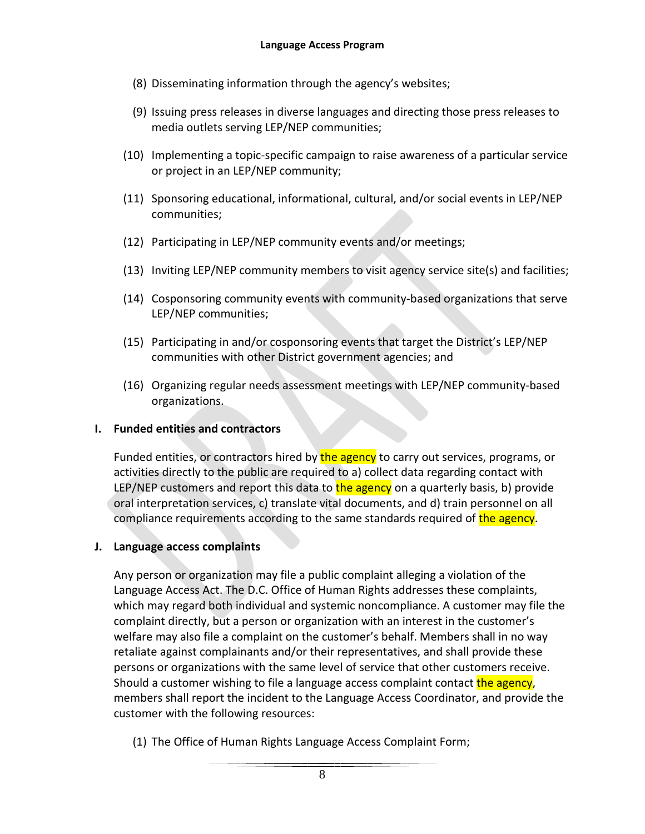- (8) Disseminating information through the agency's websites;
- (9) Issuing press releases in diverse languages and directing those press releases to media outlets serving LEP/NEP communities;
- (10) Implementing a topic-specific campaign to raise awareness of a particular service or project in an LEP/NEP community;
- (11) Sponsoring educational, informational, cultural, and/or social events in LEP/NEP communities;
- (12) Participating in LEP/NEP community events and/or meetings;
- (13) Inviting LEP/NEP community members to visit agency service site(s) and facilities;
- (14) Cosponsoring community events with community-based organizations that serve LEP/NEP communities;
- (15) Participating in and/or cosponsoring events that target the District's LEP/NEP communities with other District government agencies; and
- (16) Organizing regular needs assessment meetings with LEP/NEP community-based organizations.

## <span id="page-7-0"></span>**I. Funded entities and contractors**

Funded entities, or contractors hired by the agency to carry out services, programs, or activities directly to the public are required to a) collect data regarding contact with LEP/NEP customers and report this data to the agency on a quarterly basis, b) provide oral interpretation services, c) translate vital documents, and d) train personnel on all compliance requirements according to the same standards required of the agency.

#### <span id="page-7-1"></span>**J. Language access complaints**

Any person or organization may file a public complaint alleging a violation of the Language Access Act. The D.C. Office of Human Rights addresses these complaints, which may regard both individual and systemic noncompliance. A customer may file the complaint directly, but a person or organization with an interest in the customer's welfare may also file a complaint on the customer's behalf. Members shall in no way retaliate against complainants and/or their representatives, and shall provide these persons or organizations with the same level of service that other customers receive. Should a customer wishing to file a language access complaint contact the agency, members shall report the incident to the Language Access Coordinator, and provide the customer with the following resources:

(1) The Office of Human Rights Language Access Complaint Form;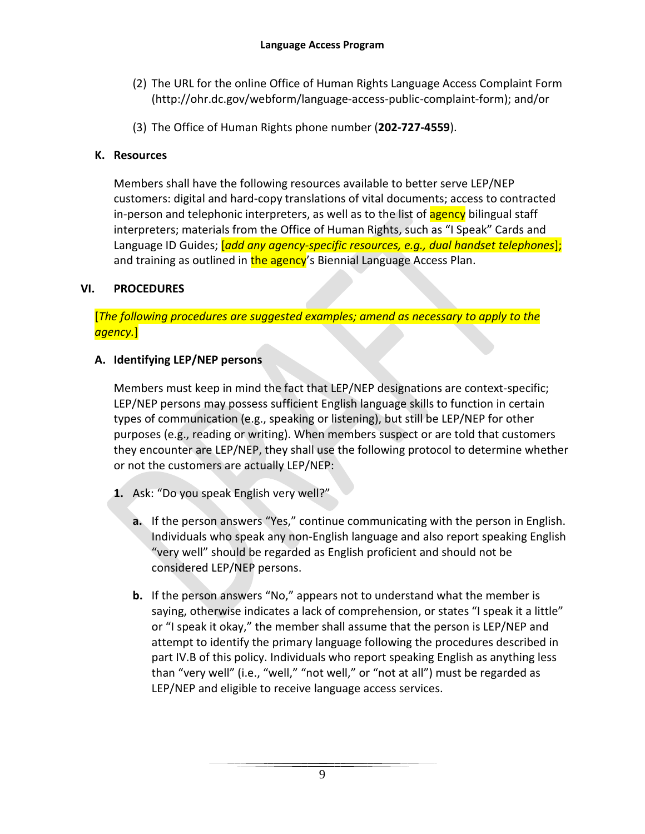- (2) The URL for the online Office of Human Rights Language Access Complaint Form (http://ohr.dc.gov/webform/language-access-public-complaint-form); and/or
- (3) The Office of Human Rights phone number (**202-727-4559**).

## <span id="page-8-0"></span>**K. Resources**

Members shall have the following resources available to better serve LEP/NEP customers: digital and hard-copy translations of vital documents; access to contracted in-person and telephonic interpreters, as well as to the list of **agency** bilingual staff interpreters; materials from the Office of Human Rights, such as "I Speak" Cards and Language ID Guides; [*add any agency-specific resources, e.g., dual handset telephones*]; and training as outlined in the agency's Biennial Language Access Plan.

## <span id="page-8-1"></span>**VI. PROCEDURES**

[*The following procedures are suggested examples; amend as necessary to apply to the agency.*]

## <span id="page-8-2"></span>**A. Identifying LEP/NEP persons**

Members must keep in mind the fact that LEP/NEP designations are context-specific; LEP/NEP persons may possess sufficient English language skills to function in certain types of communication (e.g., speaking or listening), but still be LEP/NEP for other purposes (e.g., reading or writing). When members suspect or are told that customers they encounter are LEP/NEP, they shall use the following protocol to determine whether or not the customers are actually LEP/NEP:

- **1.** Ask: "Do you speak English very well?"
	- **a.** If the person answers "Yes," continue communicating with the person in English. Individuals who speak any non-English language and also report speaking English "very well" should be regarded as English proficient and should not be considered LEP/NEP persons.
	- **b.** If the person answers "No," appears not to understand what the member is saying, otherwise indicates a lack of comprehension, or states "I speak it a little" or "I speak it okay," the member shall assume that the person is LEP/NEP and attempt to identify the primary language following the procedures described in part IV.B of this policy. Individuals who report speaking English as anything less than "very well" (i.e., "well," "not well," or "not at all") must be regarded as LEP/NEP and eligible to receive language access services.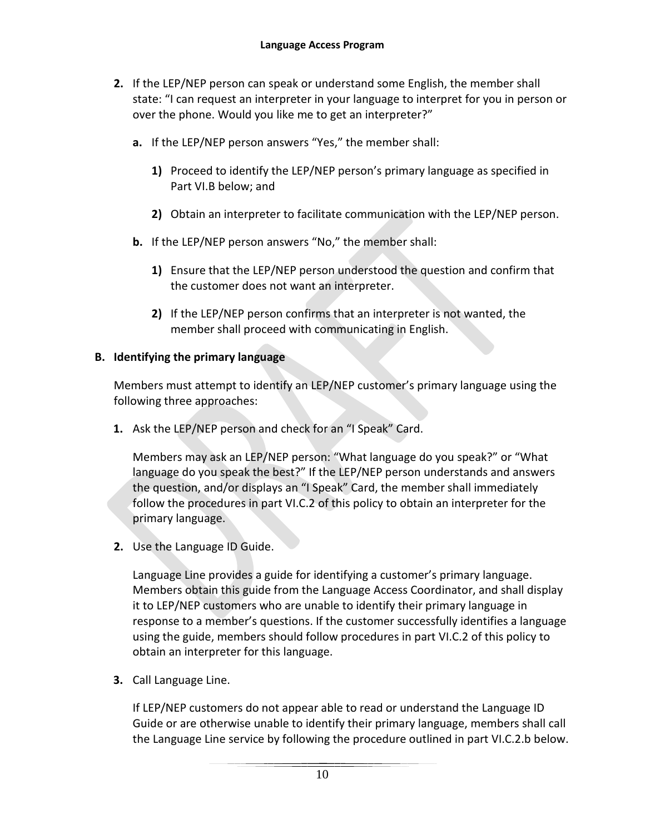- **2.** If the LEP/NEP person can speak or understand some English, the member shall state: "I can request an interpreter in your language to interpret for you in person or over the phone. Would you like me to get an interpreter?"
	- **a.** If the LEP/NEP person answers "Yes," the member shall:
		- **1)** Proceed to identify the LEP/NEP person's primary language as specified in Part VI.B below; and
		- **2)** Obtain an interpreter to facilitate communication with the LEP/NEP person.
	- **b.** If the LEP/NEP person answers "No," the member shall:
		- **1)** Ensure that the LEP/NEP person understood the question and confirm that the customer does not want an interpreter.
		- **2)** If the LEP/NEP person confirms that an interpreter is not wanted, the member shall proceed with communicating in English.

#### <span id="page-9-0"></span>**B. Identifying the primary language**

Members must attempt to identify an LEP/NEP customer's primary language using the following three approaches:

**1.** Ask the LEP/NEP person and check for an "I Speak" Card.

Members may ask an LEP/NEP person: "What language do you speak?" or "What language do you speak the best?" If the LEP/NEP person understands and answers the question, and/or displays an "I Speak" Card, the member shall immediately follow the procedures in part VI.C.2 of this policy to obtain an interpreter for the primary language.

**2.** Use the Language ID Guide.

Language Line provides a guide for identifying a customer's primary language. Members obtain this guide from the Language Access Coordinator, and shall display it to LEP/NEP customers who are unable to identify their primary language in response to a member's questions. If the customer successfully identifies a language using the guide, members should follow procedures in part VI.C.2 of this policy to obtain an interpreter for this language.

**3.** Call Language Line.

If LEP/NEP customers do not appear able to read or understand the Language ID Guide or are otherwise unable to identify their primary language, members shall call the Language Line service by following the procedure outlined in part VI.C.2.b below.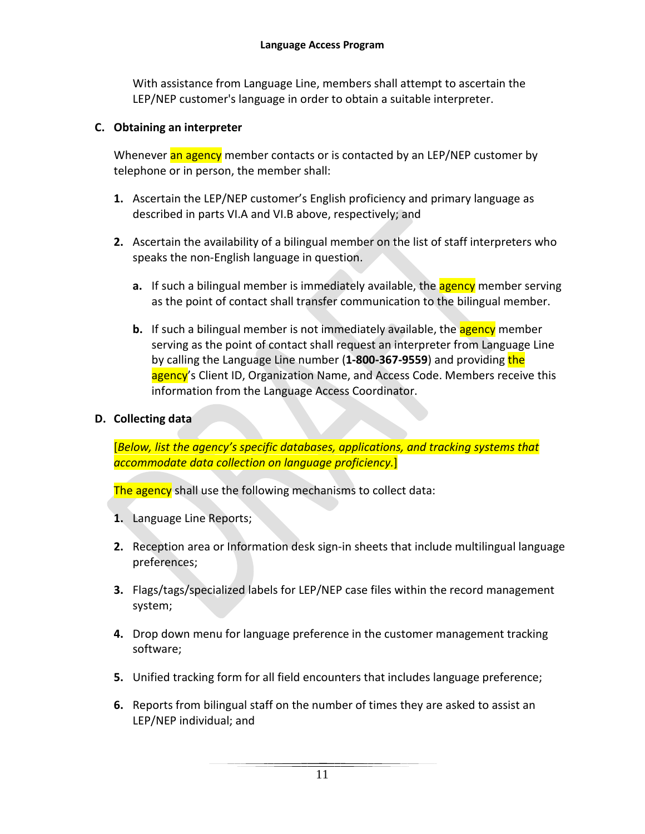With assistance from Language Line, members shall attempt to ascertain the LEP/NEP customer's language in order to obtain a suitable interpreter.

### <span id="page-10-0"></span>**C. Obtaining an interpreter**

Whenever an agency member contacts or is contacted by an LEP/NEP customer by telephone or in person, the member shall:

- **1.** Ascertain the LEP/NEP customer's English proficiency and primary language as described in parts VI.A and VI.B above, respectively; and
- **2.** Ascertain the availability of a bilingual member on the list of staff interpreters who speaks the non-English language in question.
	- **a.** If such a bilingual member is immediately available, the **agency** member serving as the point of contact shall transfer communication to the bilingual member.
	- **b.** If such a bilingual member is not immediately available, the **agency** member serving as the point of contact shall request an interpreter from Language Line by calling the Language Line number (**1-800-367-9559**) and providing the agency's Client ID, Organization Name, and Access Code. Members receive this information from the Language Access Coordinator.
- <span id="page-10-1"></span>**D. Collecting data**

[*Below, list the agency's specific databases, applications, and tracking systems that accommodate data collection on language proficiency.*]

The agency shall use the following mechanisms to collect data:

- **1.** Language Line Reports;
- **2.** Reception area or Information desk sign-in sheets that include multilingual language preferences;
- **3.** Flags/tags/specialized labels for LEP/NEP case files within the record management system;
- **4.** Drop down menu for language preference in the customer management tracking software;
- **5.** Unified tracking form for all field encounters that includes language preference;
- **6.** Reports from bilingual staff on the number of times they are asked to assist an LEP/NEP individual; and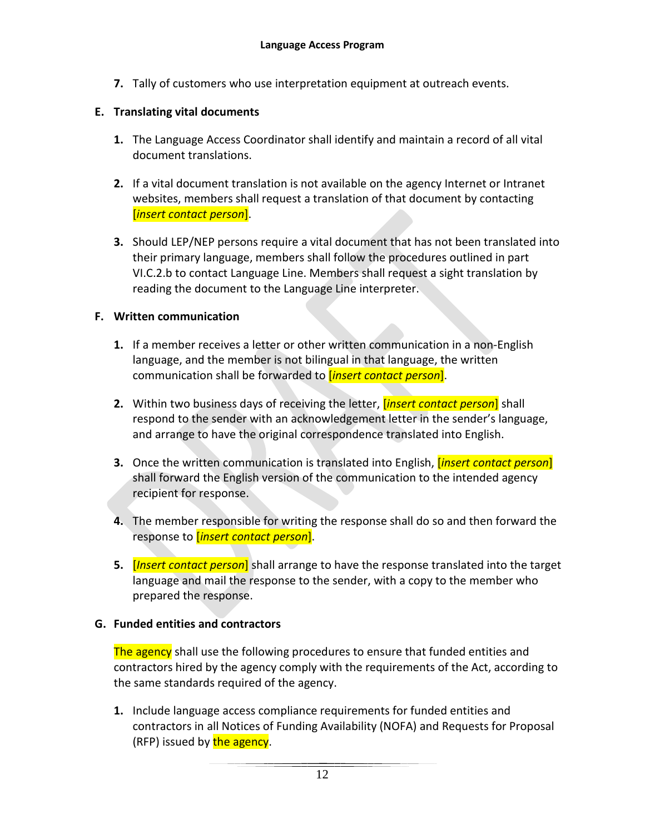**7.** Tally of customers who use interpretation equipment at outreach events.

## <span id="page-11-0"></span>**E. Translating vital documents**

- **1.** The Language Access Coordinator shall identify and maintain a record of all vital document translations.
- **2.** If a vital document translation is not available on the agency Internet or Intranet websites, members shall request a translation of that document by contacting [*insert contact person*].
- **3.** Should LEP/NEP persons require a vital document that has not been translated into their primary language, members shall follow the procedures outlined in part VI.C.2.b to contact Language Line. Members shall request a sight translation by reading the document to the Language Line interpreter.

### <span id="page-11-1"></span>**F. Written communication**

- **1.** If a member receives a letter or other written communication in a non-English language, and the member is not bilingual in that language, the written communication shall be forwarded to [*insert contact person*].
- **2.** Within two business days of receiving the letter, [*insert contact person*] shall respond to the sender with an acknowledgement letter in the sender's language, and arrange to have the original correspondence translated into English.
- **3.** Once the written communication is translated into English, [*insert contact person*] shall forward the English version of the communication to the intended agency recipient for response.
- **4.** The member responsible for writing the response shall do so and then forward the response to [*insert contact person*].
- **5.** [*Insert contact person*] shall arrange to have the response translated into the target language and mail the response to the sender, with a copy to the member who prepared the response.

## <span id="page-11-2"></span>**G. Funded entities and contractors**

The agency shall use the following procedures to ensure that funded entities and contractors hired by the agency comply with the requirements of the Act, according to the same standards required of the agency.

**1.** Include language access compliance requirements for funded entities and contractors in all Notices of Funding Availability (NOFA) and Requests for Proposal (RFP) issued by the agency.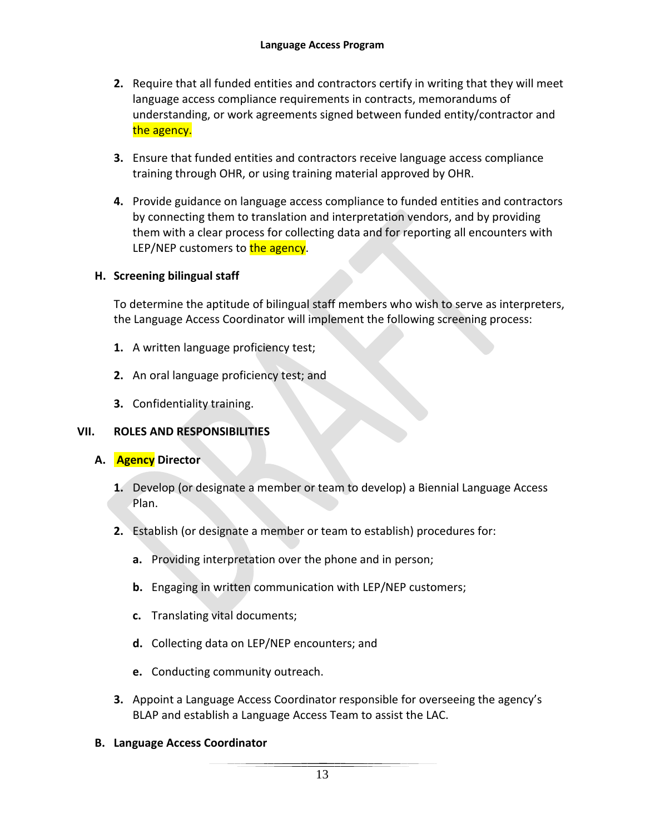- **2.** Require that all funded entities and contractors certify in writing that they will meet language access compliance requirements in contracts, memorandums of understanding, or work agreements signed between funded entity/contractor and the agency.
- **3.** Ensure that funded entities and contractors receive language access compliance training through OHR, or using training material approved by OHR.
- **4.** Provide guidance on language access compliance to funded entities and contractors by connecting them to translation and interpretation vendors, and by providing them with a clear process for collecting data and for reporting all encounters with LEP/NEP customers to the agency.

## <span id="page-12-0"></span>**H. Screening bilingual staff**

To determine the aptitude of bilingual staff members who wish to serve as interpreters, the Language Access Coordinator will implement the following screening process:

- **1.** A written language proficiency test;
- **2.** An oral language proficiency test; and
- **3.** Confidentiality training.

## <span id="page-12-1"></span>**VII. ROLES AND RESPONSIBILITIES**

- <span id="page-12-2"></span>**A. Agency Director**
	- **1.** Develop (or designate a member or team to develop) a Biennial Language Access Plan.
	- **2.** Establish (or designate a member or team to establish) procedures for:
		- **a.** Providing interpretation over the phone and in person;
		- **b.** Engaging in written communication with LEP/NEP customers;
		- **c.** Translating vital documents;
		- **d.** Collecting data on LEP/NEP encounters; and
		- **e.** Conducting community outreach.
	- **3.** Appoint a Language Access Coordinator responsible for overseeing the agency's BLAP and establish a Language Access Team to assist the LAC.

## <span id="page-12-3"></span>**B. Language Access Coordinator**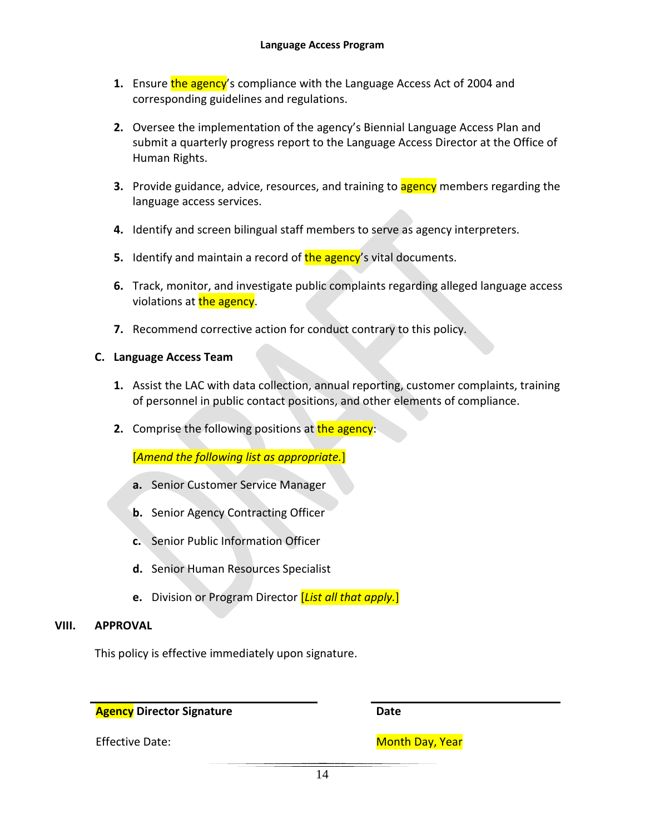- **1.** Ensure the agency's compliance with the Language Access Act of 2004 and corresponding guidelines and regulations.
- **2.** Oversee the implementation of the agency's Biennial Language Access Plan and submit a quarterly progress report to the Language Access Director at the Office of Human Rights.
- **3.** Provide guidance, advice, resources, and training to **agency** members regarding the language access services.
- **4.** Identify and screen bilingual staff members to serve as agency interpreters.
- **5.** Identify and maintain a record of the agency's vital documents.
- **6.** Track, monitor, and investigate public complaints regarding alleged language access violations at the agency.
- **7.** Recommend corrective action for conduct contrary to this policy.

#### <span id="page-13-0"></span>**C. Language Access Team**

- **1.** Assist the LAC with data collection, annual reporting, customer complaints, training of personnel in public contact positions, and other elements of compliance.
- **2.** Comprise the following positions at the agency:

[*Amend the following list as appropriate.*]

- **a.** Senior Customer Service Manager
- **b.** Senior Agency Contracting Officer
- **c.** Senior Public Information Officer
- **d.** Senior Human Resources Specialist
- **e.** Division or Program Director [*List all that apply.*]

#### **VIII. APPROVAL**

This policy is effective immediately upon signature.

**Agency** Director Signature **Date Date** 

Effective Date: Month Day, Year